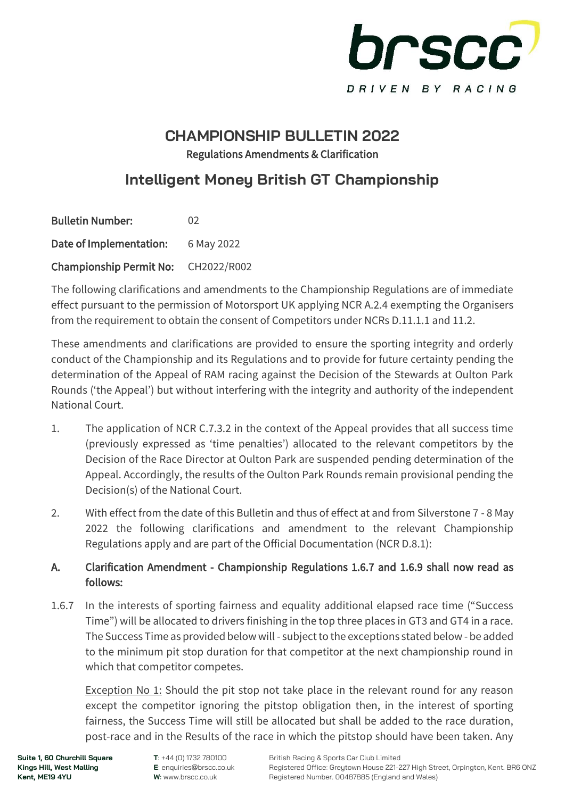

### **CHAMPIONSHIP BULLETIN 2022** Regulations Amendments & Clarification

## **Intelligent Money British GT Championship**

| <b>Bulletin Number:</b>             | 02         |
|-------------------------------------|------------|
| Date of Implementation:             | 6 May 2022 |
| Championship Permit No: CH2022/R002 |            |

The following clarifications and amendments to the Championship Regulations are of immediate effect pursuant to the permission of Motorsport UK applying NCR A.2.4 exempting the Organisers from the requirement to obtain the consent of Competitors under NCRs D.11.1.1 and 11.2.

These amendments and clarifications are provided to ensure the sporting integrity and orderly conduct of the Championship and its Regulations and to provide for future certainty pending the determination of the Appeal of RAM racing against the Decision of the Stewards at Oulton Park Rounds ('the Appeal') but without interfering with the integrity and authority of the independent National Court.

- 1. The application of NCR C.7.3.2 in the context of the Appeal provides that all success time (previously expressed as 'time penalties') allocated to the relevant competitors by the Decision of the Race Director at Oulton Park are suspended pending determination of the Appeal. Accordingly, the results of the Oulton Park Rounds remain provisional pending the Decision(s) of the National Court.
- 2. With effect from the date of this Bulletin and thus of effect at and from Silverstone 7 8 May 2022 the following clarifications and amendment to the relevant Championship Regulations apply and are part of the Official Documentation (NCR D.8.1):

#### A. Clarification Amendment - Championship Regulations 1.6.7 and 1.6.9 shall now read as follows:

1.6.7 In the interests of sporting fairness and equality additional elapsed race time ("Success Time") will be allocated to drivers finishing in the top three places in GT3 and GT4 in a race. The Success Time as provided below will - subject to the exceptions stated below - be added to the minimum pit stop duration for that competitor at the next championship round in which that competitor competes.

Exception No 1: Should the pit stop not take place in the relevant round for any reason except the competitor ignoring the pitstop obligation then, in the interest of sporting fairness, the Success Time will still be allocated but shall be added to the race duration, post-race and in the Results of the race in which the pitstop should have been taken. Any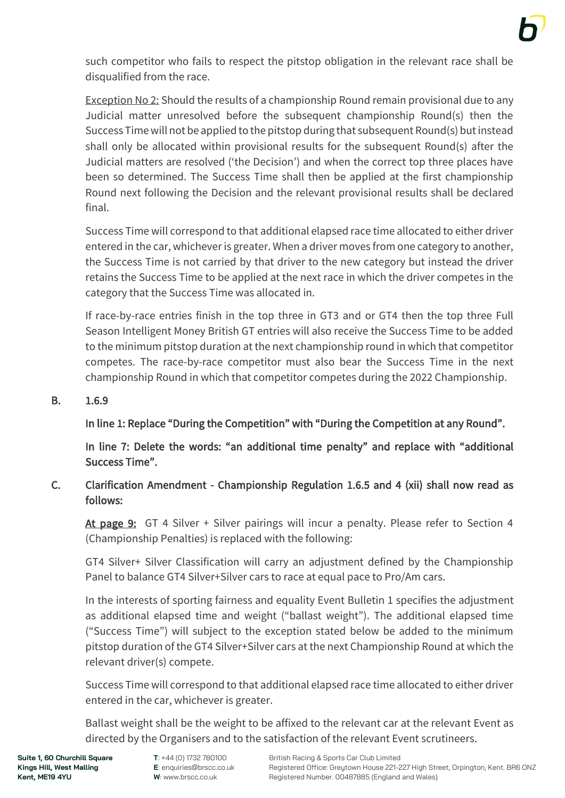such competitor who fails to respect the pitstop obligation in the relevant race shall be disqualified from the race.

Exception No 2: Should the results of a championship Round remain provisional due to any Judicial matter unresolved before the subsequent championship Round(s) then the Success Time will not be applied to the pitstop during that subsequent Round(s) but instead shall only be allocated within provisional results for the subsequent Round(s) after the Judicial matters are resolved ('the Decision') and when the correct top three places have been so determined. The Success Time shall then be applied at the first championship Round next following the Decision and the relevant provisional results shall be declared final.

Success Time will correspond to that additional elapsed race time allocated to either driver entered in the car, whichever is greater. When a driver moves from one category to another, the Success Time is not carried by that driver to the new category but instead the driver retains the Success Time to be applied at the next race in which the driver competes in the category that the Success Time was allocated in.

If race-by-race entries finish in the top three in GT3 and or GT4 then the top three Full Season Intelligent Money British GT entries will also receive the Success Time to be added to the minimum pitstop duration at the next championship round in which that competitor competes. The race-by-race competitor must also bear the Success Time in the next championship Round in which that competitor competes during the 2022 Championship.

#### B. 1.6.9

#### In line 1: Replace "During the Competition" with "During the Competition at any Round".

 In line 7: Delete the words: "an additional time penalty" and replace with "additional Success Time".

#### C. Clarification Amendment - Championship Regulation 1.6.5 and 4 (xii) shall now read as follows:

At page 9: GT 4 Silver + Silver pairings will incur a penalty. Please refer to Section 4 (Championship Penalties) is replaced with the following:

GT4 Silver+ Silver Classification will carry an adjustment defined by the Championship Panel to balance GT4 Silver+Silver cars to race at equal pace to Pro/Am cars.

In the interests of sporting fairness and equality Event Bulletin 1 specifies the adjustment as additional elapsed time and weight ("ballast weight"). The additional elapsed time ("Success Time") will subject to the exception stated below be added to the minimum pitstop duration of the GT4 Silver+Silver cars at the next Championship Round at which the relevant driver(s) compete.

Success Time will correspond to that additional elapsed race time allocated to either driver entered in the car, whichever is greater.

Ballast weight shall be the weight to be affixed to the relevant car at the relevant Event as directed by the Organisers and to the satisfaction of the relevant Event scrutineers.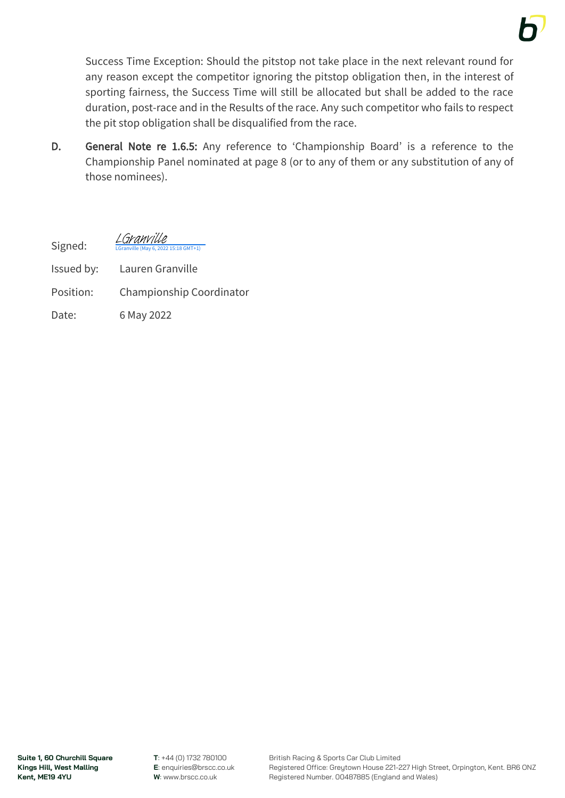

Success Time Exception: Should the pitstop not take place in the next relevant round for any reason except the competitor ignoring the pitstop obligation then, in the interest of sporting fairness, the Success Time will still be allocated but shall be added to the race duration, post-race and in the Results of the race. Any such competitor who fails to respect the pit stop obligation shall be disqualified from the race.

D. General Note re 1.6.5: Any reference to 'Championship Board' is a reference to the Championship Panel nominated at page 8 (or to any of them or any substitution of any of those nominees).

Signed:  $15:18$  GMT+1) [LGranville](https://eu1.documents.adobe.com/verifier?tx=CBJCHBCAABAAl6SdcMUleJ0yEEG3WsH3NMRGmvhCKGj2)

- Issued by: Lauren Granville
- Position: Championship Coordinator
- Date: 6 May 2022